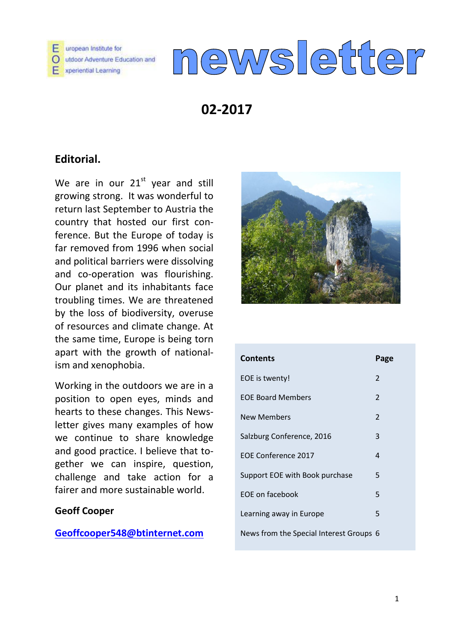

# newsletter

# **02-2017**

## **Editorial.**

We are in our  $21<sup>st</sup>$  year and still growing strong. It was wonderful to return last September to Austria the country that hosted our first conference. But the Europe of today is far removed from 1996 when social and political barriers were dissolving and co-operation was flourishing. Our planet and its inhabitants face troubling times. We are threatened by the loss of biodiversity, overuse of resources and climate change. At the same time, Europe is being torn apart with the growth of nationalism and xenophobia.

Working in the outdoors we are in a position to open eyes, minds and hearts to these changes. This Newsletter gives many examples of how we continue to share knowledge and good practice. I believe that together we can inspire, question, challenge and take action for a fairer and more sustainable world.

## **Geoff Cooper**

**[Geoffcooper548@btinternet.com](mailto:Geoffcooper548@btinternet.com)**



| <b>Contents</b>                         | Page                   |
|-----------------------------------------|------------------------|
| EOE is twenty!                          | $\overline{2}$         |
| <b>FOF Board Members</b>                | $\overline{2}$         |
| <b>New Members</b>                      | $\overline{2}$         |
| Salzburg Conference, 2016               | 3                      |
| EOE Conference 2017                     | $\boldsymbol{\Lambda}$ |
| Support EOE with Book purchase          | 5                      |
| FOF on facebook                         | 5                      |
| Learning away in Europe                 | 5                      |
| News from the Special Interest Groups 6 |                        |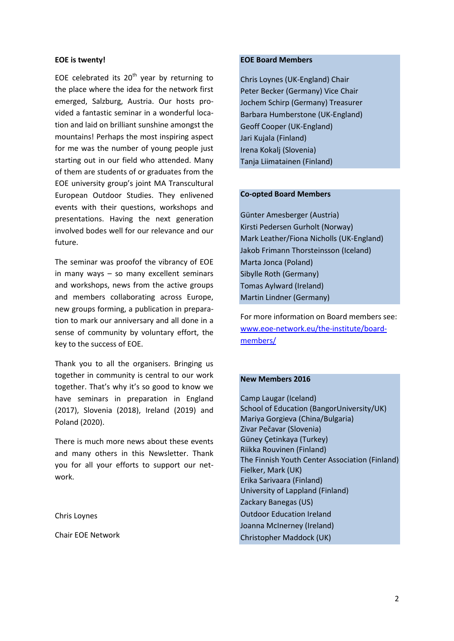#### **EOE is twenty!**

EOE celebrated its  $20<sup>th</sup>$  year by returning to the place where the idea for the network first emerged, Salzburg, Austria. Our hosts provided a fantastic seminar in a wonderful location and laid on brilliant sunshine amongst the mountains! Perhaps the most inspiring aspect for me was the number of young people just starting out in our field who attended. Many of them are students of or graduates from the EOE university group's joint MA Transcultural European Outdoor Studies. They enlivened events with their questions, workshops and presentations. Having the next generation involved bodes well for our relevance and our future.

The seminar was proofof the vibrancy of EOE in many ways – so many excellent seminars and workshops, news from the active groups and members collaborating across Europe, new groups forming, a publication in preparation to mark our anniversary and all done in a sense of community by voluntary effort, the key to the success of EOE.

Thank you to all the organisers. Bringing us together in community is central to our work together. That's why it's so good to know we have seminars in preparation in England (2017), Slovenia (2018), Ireland (2019) and Poland (2020).

There is much more news about these events and many others in this Newsletter. Thank you for all your efforts to support our network.

#### Chris Loynes

Chair EOE Network

#### **EOE Board Members**

[Chris Loynes](http://www.eoe-network.eu/the-institute/board-members/chris-loynes/) (UK-England) Chair [Peter Becker](http://www.eoe-network.eu/the-institute/board-members/peter-becker/) (Germany) Vice Chair [Jochem Schirp](http://www.eoe-network.eu/the-institute/board-members/jochem-schirp/) (Germany) Treasurer [Barbara Humberstone](http://www.eoe-network.eu/the-institute/board-members/barbara-humberstone/) (UK-England) [Geoff Cooper](http://www.eoe-network.eu/the-institute/board-members/geoff-cooper/) (UK-England) [Jari Kujala](http://www.eoe-network.eu/the-institute/board-members/jari-kujala/) (Finland) [Irena Kokalj](http://www.eoe-network.eu/the-institute/board-members/irena-kokalj/) (Slovenia) Tanja Liimatainen (Finland)

#### **Co-opted Board Members**

Günter Amesberger (Austria) [Kirsti Pedersen Gurholt](http://www.eoe-network.eu/the-institute/board-members/kirsti-pedersen-gurhold/) (Norway) Mark Leather/Fiona Nicholls (UK-England) Jakob Frimann Thorsteinsson (Iceland) Marta Jonca (Poland) Sibylle Roth (Germany) Tomas Aylward (Ireland) Martin Lindner (Germany)

For more information on Board members see: [www.eoe-network.eu/the-institute/board](http://www.eoe-network.eu/the-institute/board-members/)[members/](http://www.eoe-network.eu/the-institute/board-members/)

#### **New Members 2016**

Camp Laugar (Iceland) School of Education (BangorUniversity/UK) Mariya Gorgieva (China/Bulgaria) Zivar Pečavar (Slovenia) Güney Çetinkaya (Turkey) Riikka Rouvinen (Finland) The Finnish Youth Center Association (Finland) Fielker, Mark (UK) Erika Sarivaara (Finland) University of Lappland (Finland) Zackary Banegas (US) Outdoor Education Ireland Joanna McInerney (Ireland) Christopher Maddock (UK)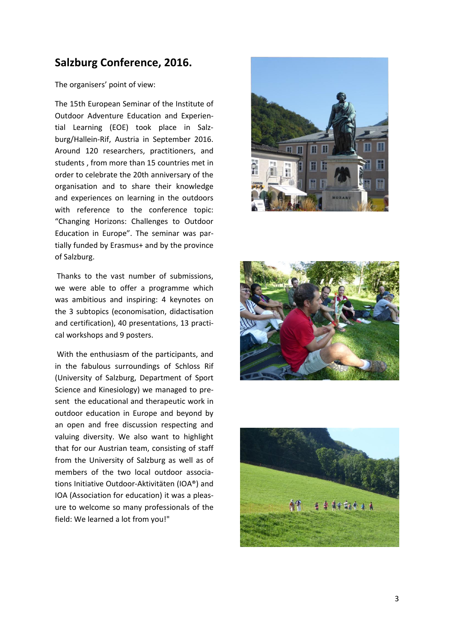## **Salzburg Conference, 2016.**

The organisers' point of view:

The 15th European Seminar of the Institute of Outdoor Adventure Education and Experiential Learning (EOE) took place in Salzburg/Hallein-Rif, Austria in September 2016. Around 120 researchers, practitioners, and students , from more than 15 countries met in order to celebrate the 20th anniversary of the organisation and to share their knowledge and experiences on learning in the outdoors with reference to the conference topic: "Changing Horizons: Challenges to Outdoor Education in Europe". The seminar was partially funded by [Erasmus+](http://ec.europa.eu/programmes/erasmus-plus/index_en.htm) and by the province of Salzburg .

Thanks to the vast number of submissions, we were able to offer a programme which was ambitious and inspiring: 4 keynotes on the 3 subtopics (economisation, didactisation and certification), 40 presentations, 13 practical workshops and 9 posters.

With the enthusiasm of the participants, and in the fabulous surroundings of Schloss Rif (University of Salzburg, [Department of Sport](http://sportwissenschaft.uni-salzburg.at/spo/)  [Science and Kinesiology\)](http://sportwissenschaft.uni-salzburg.at/spo/) we managed to present the educational and therapeutic work in outdoor education in Europe and beyond by an open and free discussion respecting and valuing diversity. We also want to highlight that for our Austrian team, consisting of staff from the University of Salzburg as well as of members of the two local outdoor associations [Initiative Outdoor-Aktivitäten \(IOA®\)](http://ioa.at/) and IOA [\(Association for education\)](http://www.bildung-ioa.at/) it was a pleasure to welcome so many professionals of the field: We learned a lot from you!"





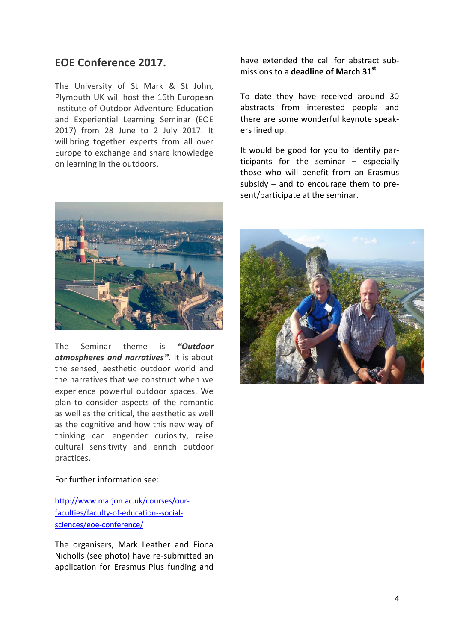## **EOE Conference 2017.**

The University of St Mark & St John, Plymouth UK will host the 16th European Institute of Outdoor Adventure Education and Experiential Learning Seminar (EOE 2017) from 28 June to 2 July 2017. It will bring together experts from all over Europe to exchange and share knowledge on learning in the outdoors.



The Seminar theme is *"Outdoor atmospheres and narratives"*. It is about the sensed, aesthetic outdoor world and the narratives that we construct when we experience powerful outdoor spaces. We plan to consider aspects of the romantic as well as the critical, the aesthetic as well as the cognitive and how this new way of thinking can engender curiosity, raise cultural sensitivity and enrich outdoor practices.

have extended the call for abstract submissions to a **deadline of March 31st**

To date they have received around 30 abstracts from interested people and there are some wonderful keynote speakers lined up.

It would be good for you to identify participants for the seminar – especially those who will benefit from an Erasmus subsidy – and to encourage them to present/participate at the seminar.



#### For further information see:

[http://www.marjon.ac.uk/courses/our](http://www.marjon.ac.uk/courses/our-faculties/faculty-of-education--social-sciences/eoe-conference/)[faculties/faculty-of-education--social](http://www.marjon.ac.uk/courses/our-faculties/faculty-of-education--social-sciences/eoe-conference/)[sciences/eoe-conference/](http://www.marjon.ac.uk/courses/our-faculties/faculty-of-education--social-sciences/eoe-conference/)

The organisers, Mark Leather and Fiona Nicholls (see photo) have re-submitted an application for Erasmus Plus funding and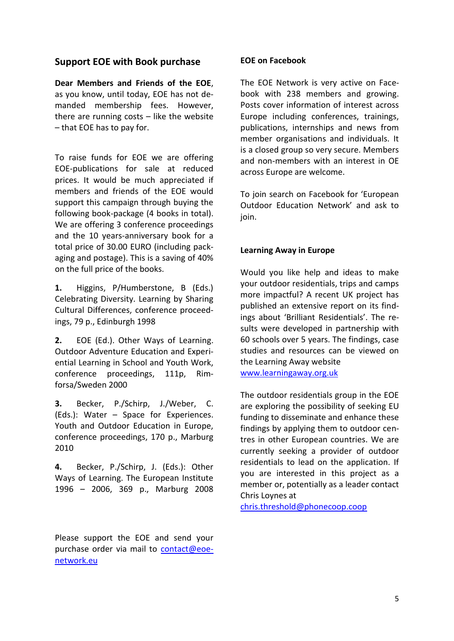## **Support EOE with Book purchase**

**Dear Members and Friends of the EOE**, as you know, until today, EOE has not demanded membership fees. However, there are running costs – like the website – that EOE has to pay for.

To raise funds for EOE we are offering EOE-publications for sale at reduced prices. It would be much appreciated if members and friends of the EOE would support this campaign through buying the following book-package (4 books in total). We are offering 3 conference proceedings and the 10 years-anniversary book for a total price of 30.00 EURO (including packaging and postage). This is a saving of 40% on the full price of the books.

**1.** Higgins, P/Humberstone, B (Eds.) Celebrating Diversity. Learning by Sharing Cultural Differences, conference proceedings, 79 p., Edinburgh 1998

**2.** EOE (Ed.). Other Ways of Learning. Outdoor Adventure Education and Experiential Learning in School and Youth Work, conference proceedings, 111p, Rimforsa/Sweden 2000

**3.** Becker, P./Schirp, J./Weber, C. (Eds.): Water – Space for Experiences. Youth and Outdoor Education in Europe, conference proceedings, 170 p., Marburg 2010

**4.** Becker, P./Schirp, J. (Eds.): Other Ways of Learning. The European Institute 1996 – 2006, 369 p., Marburg 2008

Please support the EOE and send your purchase order via mail to [contact@eoe](mailto:contact@eoe-network.eu)[network.eu](mailto:contact@eoe-network.eu)

### **EOE on Facebook**

The EOE Network is very active on Facebook with 238 members and growing. Posts cover information of interest across Europe including conferences, trainings, publications, internships and news from member organisations and individuals. It is a closed group so very secure. Members and non-members with an interest in OE across Europe are welcome.

To join search on Facebook for 'European Outdoor Education Network' and ask to join.

### **Learning Away in Europe**

Would you like help and ideas to make your outdoor residentials, trips and camps more impactful? A recent UK project has published an extensive report on its findings about 'Brilliant Residentials'. The results were developed in partnership with 60 schools over 5 years. The findings, case studies and resources can be viewed on the Learning Away website [www.learningaway.org.uk](http://www.learningaway.org.uk/)

The outdoor residentials group in the EOE are exploring the possibility of seeking EU funding to disseminate and enhance these findings by applying them to outdoor centres in other European countries. We are currently seeking a provider of outdoor residentials to lead on the application. If you are interested in this project as a member or, potentially as a leader contact Chris Loynes at

[chris.threshold@phonecoop.coop](mailto:chris.threshold@phonecoop.coop)